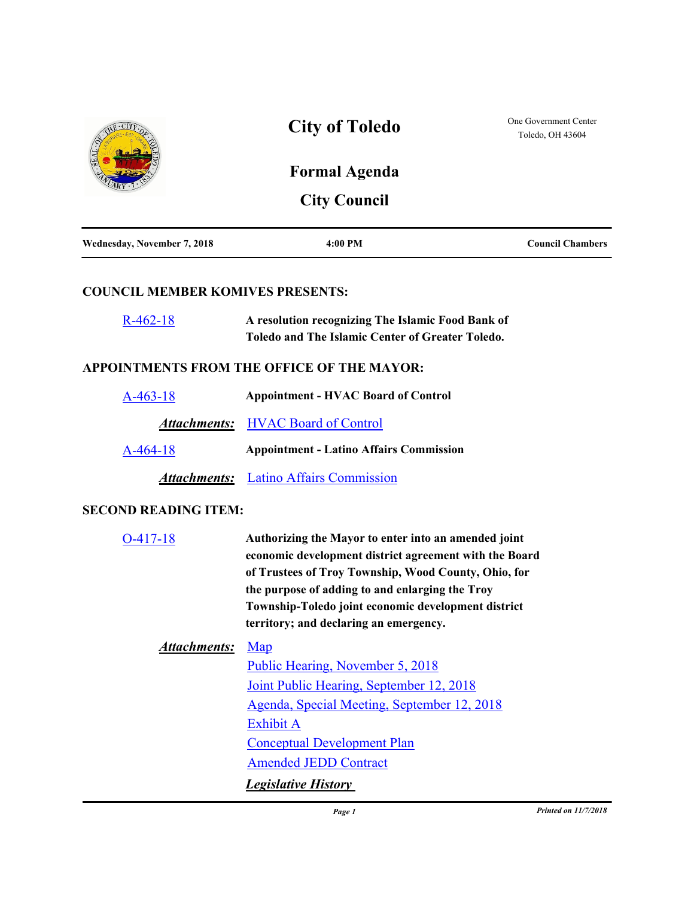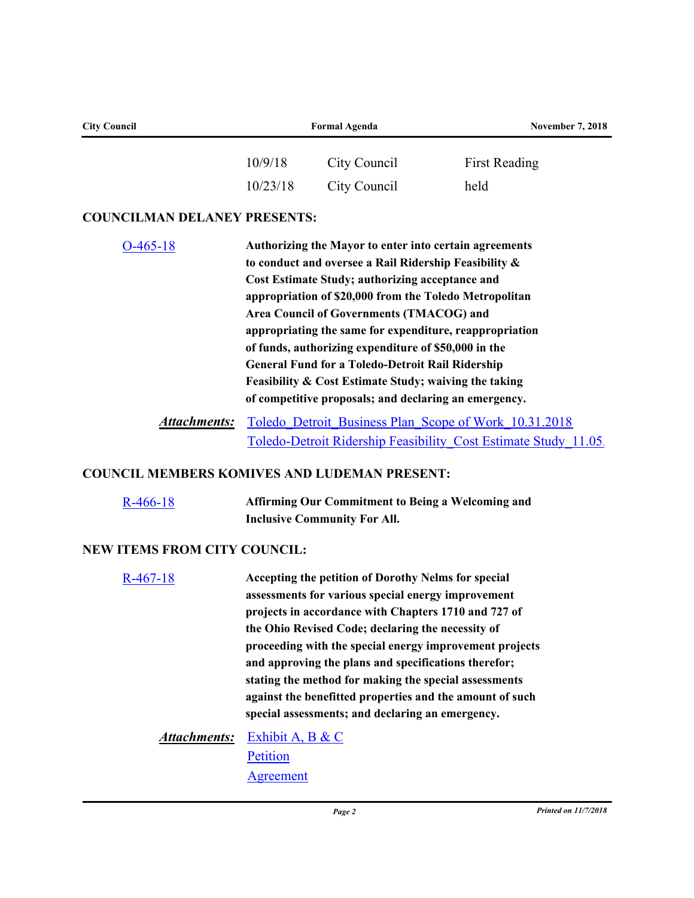| <b>City Council</b>                                 | <b>Formal Agenda</b>                                                                                                                                                                                                                                                                                                                                                                                                                                                                                                                                                     |                                                                                                                                                                   | <b>November 7, 2018</b>                                         |  |
|-----------------------------------------------------|--------------------------------------------------------------------------------------------------------------------------------------------------------------------------------------------------------------------------------------------------------------------------------------------------------------------------------------------------------------------------------------------------------------------------------------------------------------------------------------------------------------------------------------------------------------------------|-------------------------------------------------------------------------------------------------------------------------------------------------------------------|-----------------------------------------------------------------|--|
|                                                     | 10/9/18                                                                                                                                                                                                                                                                                                                                                                                                                                                                                                                                                                  | City Council                                                                                                                                                      | <b>First Reading</b>                                            |  |
|                                                     | 10/23/18                                                                                                                                                                                                                                                                                                                                                                                                                                                                                                                                                                 | City Council                                                                                                                                                      | held                                                            |  |
| <b>COUNCILMAN DELANEY PRESENTS:</b>                 |                                                                                                                                                                                                                                                                                                                                                                                                                                                                                                                                                                          |                                                                                                                                                                   |                                                                 |  |
| $O-465-18$                                          | Authorizing the Mayor to enter into certain agreements<br>to conduct and oversee a Rail Ridership Feasibility &<br>Cost Estimate Study; authorizing acceptance and<br>appropriation of \$20,000 from the Toledo Metropolitan<br>Area Council of Governments (TMACOG) and<br>appropriating the same for expenditure, reappropriation<br>of funds, authorizing expenditure of \$50,000 in the<br><b>General Fund for a Toledo-Detroit Rail Ridership</b><br>Feasibility & Cost Estimate Study; waiving the taking<br>of competitive proposals; and declaring an emergency. |                                                                                                                                                                   |                                                                 |  |
| <b>Attachments:</b>                                 | Toledo Detroit Business Plan Scope of Work 10.31.2018                                                                                                                                                                                                                                                                                                                                                                                                                                                                                                                    |                                                                                                                                                                   |                                                                 |  |
| <b>COUNCIL MEMBERS KOMIVES AND LUDEMAN PRESENT:</b> |                                                                                                                                                                                                                                                                                                                                                                                                                                                                                                                                                                          |                                                                                                                                                                   | Toledo-Detroit Ridership Feasibility Cost Estimate Study 11.05. |  |
| $R-466-18$                                          |                                                                                                                                                                                                                                                                                                                                                                                                                                                                                                                                                                          | <b>Affirming Our Commitment to Being a Welcoming and</b><br><b>Inclusive Community For All.</b>                                                                   |                                                                 |  |
| <b>NEW ITEMS FROM CITY COUNCIL:</b>                 |                                                                                                                                                                                                                                                                                                                                                                                                                                                                                                                                                                          |                                                                                                                                                                   |                                                                 |  |
| $R-467-18$                                          |                                                                                                                                                                                                                                                                                                                                                                                                                                                                                                                                                                          | Accepting the petition of Dorothy Nelms for special<br>assessments for various special energy improvement<br>projects in accordance with Chapters 1710 and 727 of |                                                                 |  |

**projects in accordance with Chapters 1710 and 727 of the Ohio Revised Code; declaring the necessity of proceeding with the special energy improvement projects and approving the plans and specifications therefor; stating the method for making the special assessments against the benefitted properties and the amount of such special assessments; and declaring an emergency.**

[Exhibit A, B & C](http://toledo.legistar.com/gateway.aspx?M=F&ID=cb2f04a2-ecbc-4550-905b-01b89b5448c0.docx) *Attachments:* **[Petition](http://toledo.legistar.com/gateway.aspx?M=F&ID=b85a6033-21a8-43c4-a0df-9a308406d534.pdf) [Agreement](http://toledo.legistar.com/gateway.aspx?M=F&ID=e3b23bc9-55b8-4ab1-b4a5-ed8b7720a82d.pdf)**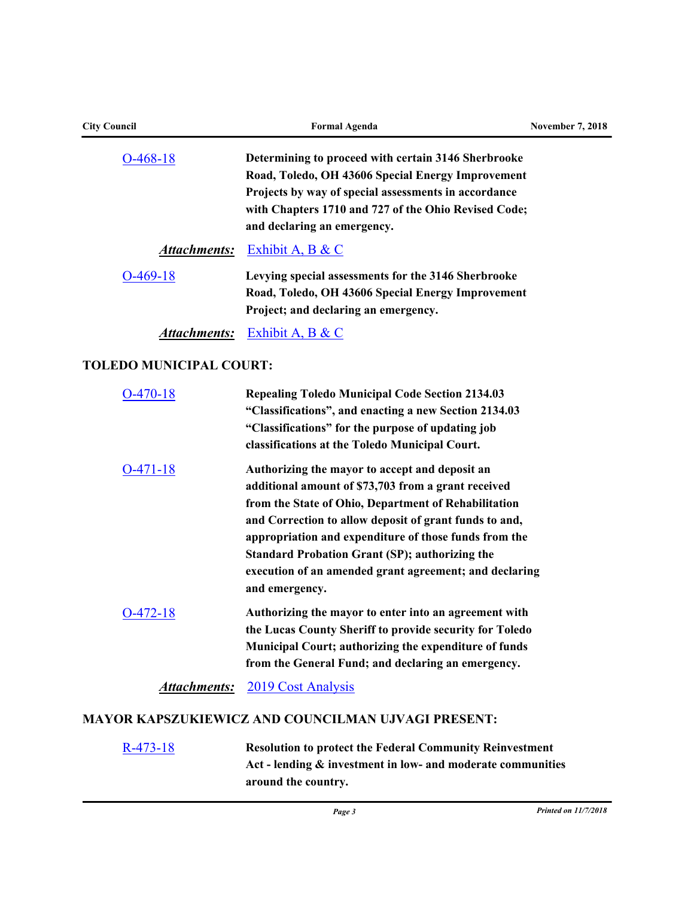| <b>City Council</b>            | <b>Formal Agenda</b>                                                                                                                                                                                                                                                                                                                                                                                                  | <b>November 7, 2018</b> |
|--------------------------------|-----------------------------------------------------------------------------------------------------------------------------------------------------------------------------------------------------------------------------------------------------------------------------------------------------------------------------------------------------------------------------------------------------------------------|-------------------------|
| $O-468-18$                     | Determining to proceed with certain 3146 Sherbrooke<br>Road, Toledo, OH 43606 Special Energy Improvement<br>Projects by way of special assessments in accordance<br>with Chapters 1710 and 727 of the Ohio Revised Code;<br>and declaring an emergency.                                                                                                                                                               |                         |
| <u>Attachments:</u>            | Exhibit A, B & C                                                                                                                                                                                                                                                                                                                                                                                                      |                         |
| $O-469-18$                     | Levying special assessments for the 3146 Sherbrooke<br>Road, Toledo, OH 43606 Special Energy Improvement<br>Project; and declaring an emergency.                                                                                                                                                                                                                                                                      |                         |
| <b>Attachments:</b>            | <b>Exhibit A, B &amp; C</b>                                                                                                                                                                                                                                                                                                                                                                                           |                         |
| <b>TOLEDO MUNICIPAL COURT:</b> |                                                                                                                                                                                                                                                                                                                                                                                                                       |                         |
| $O-470-18$                     | <b>Repealing Toledo Municipal Code Section 2134.03</b><br>"Classifications", and enacting a new Section 2134.03<br>"Classifications" for the purpose of updating job<br>classifications at the Toledo Municipal Court.                                                                                                                                                                                                |                         |
| $O-471-18$                     | Authorizing the mayor to accept and deposit an<br>additional amount of \$73,703 from a grant received<br>from the State of Ohio, Department of Rehabilitation<br>and Correction to allow deposit of grant funds to and,<br>appropriation and expenditure of those funds from the<br><b>Standard Probation Grant (SP); authorizing the</b><br>execution of an amended grant agreement; and declaring<br>and emergency. |                         |
| $O-472-18$                     | Authorizing the mayor to enter into an agreement with<br>the Lucas County Sheriff to provide security for Toledo<br>Municipal Court; authorizing the expenditure of funds<br>from the General Fund; and declaring an emergency.                                                                                                                                                                                       |                         |

Attachments: [2019 Cost Analysis](http://toledo.legistar.com/gateway.aspx?M=F&ID=236ca4f4-768b-41be-895d-631833a1ef7f.pdf)

# **MAYOR KAPSZUKIEWICZ AND COUNCILMAN UJVAGI PRESENT:**

[R-473-18](http://toledo.legistar.com/gateway.aspx?m=l&id=/matter.aspx?key=32100) **Resolution to protect the Federal Community Reinvestment Act - lending & investment in low- and moderate communities around the country.**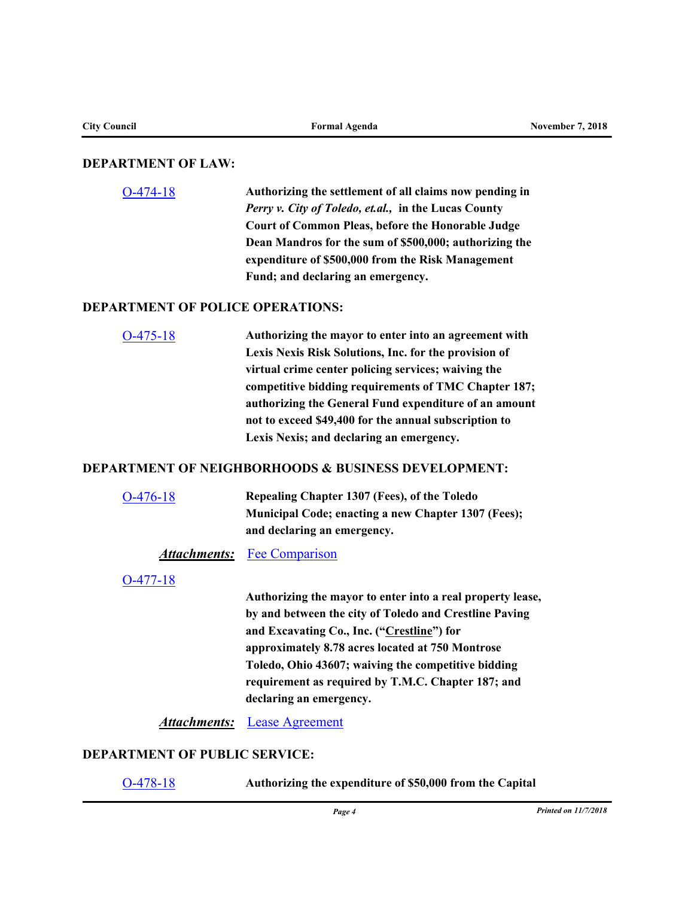## **DEPARTMENT OF LAW:**

[O-474-18](http://toledo.legistar.com/gateway.aspx?m=l&id=/matter.aspx?key=32164) **Authorizing the settlement of all claims now pending in**  *Perry v. City of Toledo, et.al.,* **in the Lucas County Court of Common Pleas, before the Honorable Judge Dean Mandros for the sum of \$500,000; authorizing the expenditure of \$500,000 from the Risk Management Fund; and declaring an emergency.**

## **DEPARTMENT OF POLICE OPERATIONS:**

[O-475-18](http://toledo.legistar.com/gateway.aspx?m=l&id=/matter.aspx?key=32124) **Authorizing the mayor to enter into an agreement with Lexis Nexis Risk Solutions, Inc. for the provision of virtual crime center policing services; waiving the competitive bidding requirements of TMC Chapter 187; authorizing the General Fund expenditure of an amount not to exceed \$49,400 for the annual subscription to Lexis Nexis; and declaring an emergency.**

# **DEPARTMENT OF NEIGHBORHOODS & BUSINESS DEVELOPMENT:**

[O-476-18](http://toledo.legistar.com/gateway.aspx?m=l&id=/matter.aspx?key=32139) **Repealing Chapter 1307 (Fees), of the Toledo Municipal Code; enacting a new Chapter 1307 (Fees); and declaring an emergency.**

#### *Attachments:* [Fee Comparison](http://toledo.legistar.com/gateway.aspx?M=F&ID=1d74246d-8864-4c87-b17b-d401ce2fdf44.xlsx)

### [O-477-18](http://toledo.legistar.com/gateway.aspx?m=l&id=/matter.aspx?key=32138)

**Authorizing the mayor to enter into a real property lease, by and between the city of Toledo and Crestline Paving and Excavating Co., Inc. ("Crestline") for approximately 8.78 acres located at 750 Montrose Toledo, Ohio 43607; waiving the competitive bidding requirement as required by T.M.C. Chapter 187; and declaring an emergency.**

*Attachments:* [Lease Agreement](http://toledo.legistar.com/gateway.aspx?M=F&ID=f529f2b8-8ce3-414a-a245-a563eb422c00.doc)

### **DEPARTMENT OF PUBLIC SERVICE:**

| $O-478-18$ | Authorizing the expenditure of \$50,000 from the Capital |
|------------|----------------------------------------------------------|
|------------|----------------------------------------------------------|